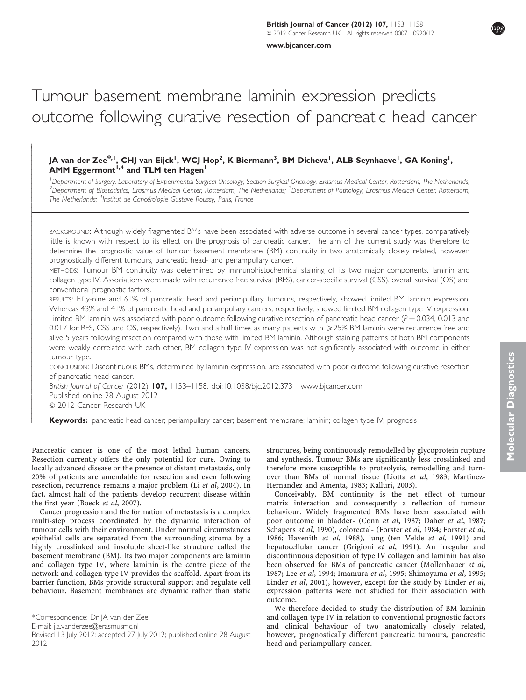[www.bjcancer.com](http://www.bjcancer.com)

# Tumour basement membrane laminin expression predicts outcome following curative resection of pancreatic head cancer

# JA van der Zee $^{\ast,1}$ , CHJ van Eijck $^{\mathsf{I}},$  WCJ Hop $^{\mathsf{2}},$  K Biermann $^{\mathsf{3}},$  BM Dicheva $^{\mathsf{I}},$  ALB Seynhaeve $^{\mathsf{I}},$  GA Koning $^{\mathsf{I}},$ AMM Eggermont<sup> $1,4$ </sup> and TLM ten Hagen<sup>1</sup>

<sup>1</sup> Department of Surgery, Laboratory of Experimental Surgical Oncology, Section Surgical Oncology, Erasmus Medical Center, Rotterdam, The Netherlands;<br><sup>2</sup> Department of Biostatistics, Erasmus Medical Center, Botterdam, Th Department of Biostatistics, Erasmus Medical Center, Rotterdam, The Netherlands; <sup>3</sup>Department of Pathology, Erasmus Medical Center, Rotterdam, The Netherlands; <sup>4</sup>Institut de Cancérologie Gustave Roussy, Paris, France

BACKGROUND: Although widely fragmented BMs have been associated with adverse outcome in several cancer types, comparatively little is known with respect to its effect on the prognosis of pancreatic cancer. The aim of the current study was therefore to determine the prognostic value of tumour basement membrane (BM) continuity in two anatomically closely related, however, prognostically different tumours, pancreatic head- and periampullary cancer.

METHODS: Tumour BM continuity was determined by immunohistochemical staining of its two major components, laminin and collagen type IV. Associations were made with recurrence free survival (RFS), cancer-specific survival (CSS), overall survival (OS) and conventional prognostic factors.

RESULTS: Fifty-nine and 61% of pancreatic head and periampullary tumours, respectively, showed limited BM laminin expression. Whereas 43% and 41% of pancreatic head and periampullary cancers, respectively, showed limited BM collagen type IV expression. Limited BM laminin was associated with poor outcome following curative resection of pancreatic head cancer ( $P = 0.034$ , 0.013 and 0.017 for RFS, CSS and OS, respectively). Two and a half times as many patients with ≥25% BM laminin were recurrence free and alive 5 years following resection compared with those with limited BM laminin. Although staining patterns of both BM components were weakly correlated with each other, BM collagen type IV expression was not significantly associated with outcome in either tumour type.

CONCLUSION: Discontinuous BMs, determined by laminin expression, are associated with poor outcome following curative resection of pancreatic head cancer.

British Journal of Cancer (2012) 107, 1153-1158. doi:[10.1038/bjc.2012.373](http://dx.doi.org/10.1038/bjc.2012.373)<www.bjcancer.com> Published online 28 August 2012  $© 2012$  Cancer Research UK

Keywords: pancreatic head cancer; periampullary cancer; basement membrane; laminin; collagen type IV; prognosis

Pancreatic cancer is one of the most lethal human cancers. Resection currently offers the only potential for cure. Owing to locally advanced disease or the presence of distant metastasis, only 20% of patients are amendable for resection and even following resection, recurrence remains a major problem (Li et al[, 2004\)](#page-5-0). In fact, almost half of the patients develop recurrent disease within the first year [\(Boeck](#page-4-0) et al, 2007).

Cancer progression and the formation of metastasis is a complex multi-step process coordinated by the dynamic interaction of tumour cells with their environment. Under normal circumstances epithelial cells are separated from the surrounding stroma by a highly crosslinked and insoluble sheet-like structure called the basement membrane (BM). Its two major components are laminin and collagen type IV, where laminin is the centre piece of the network and collagen type IV provides the scaffold. Apart from its barrier function, BMs provide structural support and regulate cell behaviour. Basement membranes are dynamic rather than static

----------------1 -------------------------------------------

structures, being continuously remodelled by glycoprotein rupture and synthesis. Tumour BMs are significantly less crosslinked and therefore more susceptible to proteolysis, remodelling and turnover than BMs of normal tissue (Liotta et al[, 1983; Martinez-](#page-5-0)[Hernandez and Amenta, 1983; Kalluri, 2003\)](#page-5-0).

Conceivably, BM continuity is the net effect of tumour matrix interaction and consequently a reflection of tumour behaviour. Widely fragmented BMs have been associated with poor outcome in bladder- (Conn et al[, 1987](#page-4-0); Daher et al[, 1987;](#page-4-0) [Schapers](#page-5-0) et al, 1990), colorectal- ([Forster](#page-4-0) et al, 1984; [Forster](#page-4-0) et al, [1986](#page-4-0); [Havenith](#page-4-0) et al, 1988), lung ([ten Velde](#page-5-0) et al, 1991) and hepatocellular cancer [\(Grigioni](#page-4-0) et al, 1991). An irregular and discontinuous deposition of type IV collagen and laminin has also been observed for BMs of pancreatic cancer ([Mollenhauer](#page-5-0) et al, [1987](#page-5-0); Lee et al[, 1994;](#page-5-0) [Imamura](#page-4-0) et al, 1995; [Shimoyama](#page-5-0) et al, 1995; [Linder](#page-5-0) et al, 2001), however, except for the study by Linder et al, expression patterns were not studied for their association with outcome.

We therefore decided to study the distribution of BM laminin and collagen type IV in relation to conventional prognostic factors and clinical behaviour of two anatomically closely related, however, prognostically different pancreatic tumours, pancreatic head and periampullary cancer.

<sup>\*</sup>Correspondence: Dr JA van der Zee;

E-mail: [j.a.vanderzee@erasmusmc.nl](mailto:j.a.vanderzee@erasmusmc.nl)

Revised 13 July 2012; accepted 27 July 2012; published online 28 August 2012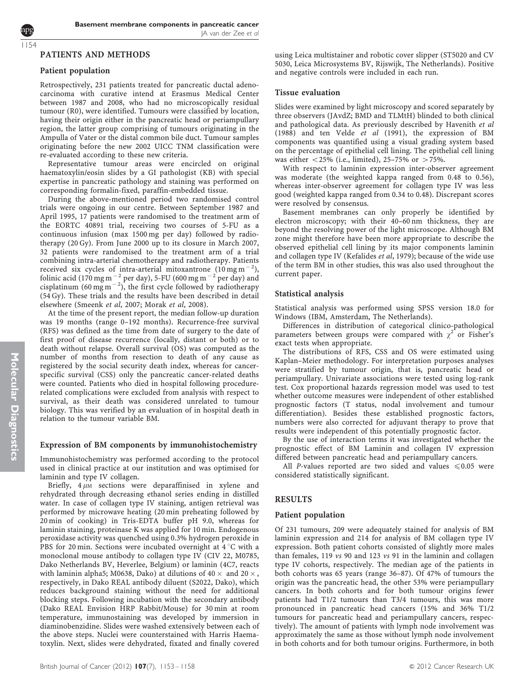# PATIENTS AND METHODS

#### Patient population

1154

Retrospectively, 231 patients treated for pancreatic ductal adenocarcinoma with curative intend at Erasmus Medical Center between 1987 and 2008, who had no microscopically residual tumour (R0), were identified. Tumours were classified by location, having their origin either in the pancreatic head or periampullary region, the latter group comprising of tumours originating in the Ampulla of Vater or the distal common bile duct. Tumour samples originating before the new 2002 UICC TNM classification were re-evaluated according to these new criteria.

Representative tumour areas were encircled on original haematoxylin/eosin slides by a GI pathologist (KB) with special expertise in pancreatic pathology and staining was performed on corresponding formalin-fixed, paraffin-embedded tissue.

During the above-mentioned period two randomised control trials were ongoing in our centre. Between September 1987 and April 1995, 17 patients were randomised to the treatment arm of the EORTC 40891 trial, receiving two courses of 5-FU as a continuous infusion (max 1500 mg per day) followed by radiotherapy (20 Gy). From June 2000 up to its closure in March 2007, 32 patients were randomised to the treatment arm of a trial combining intra-arterial chemotherapy and radiotherapy. Patients received six cycles of intra-arterial mitoxantrone  $(10 \text{ mg m}^{-2})$ , folinic acid (170 mg m $^{-2}$  per day), 5-FU (600 mg m $^{-2}$  per day) and cisplatinum (60 mg m<sup>-2</sup>), the first cycle followed by radiotherapy (54 Gy). These trials and the results have been described in detail elsewhere ([Smeenk](#page-5-0) et al, 2007; [Morak](#page-5-0) et al, 2008).

At the time of the present report, the median follow-up duration was 19 months (range 0–192 months). Recurrence-free survival (RFS) was defined as the time from date of surgery to the date of first proof of disease recurrence (locally, distant or both) or to death without relapse. Overall survival (OS) was computed as the number of months from resection to death of any cause as registered by the social security death index, whereas for cancerspecific survival (CSS) only the pancreatic cancer-related deaths were counted. Patients who died in hospital following procedurerelated complications were excluded from analysis with respect to survival, as their death was considered unrelated to tumour biology. This was verified by an evaluation of in hospital death in relation to the tumour variable BM.

#### Expression of BM components by immunohistochemistry

Immunohistochemistry was performed according to the protocol used in clinical practice at our institution and was optimised for laminin and type IV collagen.

Briefly,  $4 \mu$ M sections were deparaffinised in xylene and rehydrated through decreasing ethanol series ending in distilled water. In case of collagen type IV staining, antigen retrieval was performed by microwave heating (20 min preheating followed by 20 min of cooking) in Tris-EDTA buffer pH 9.0, whereas for laminin staining, proteinase K was applied for 10 min. Endogenous peroxidase activity was quenched using 0.3% hydrogen peroxide in PBS for 20 min. Sections were incubated overnight at  $4^{\circ}$ C with a monoclonal mouse antibody to collagen type IV (CIV 22, M0785, Dako Netherlands BV, Heverlee, Belgium) or laminin (4C7, reacts with laminin alpha5; M0638, Dako) at dilutions of  $40 \times$  and  $20 \times$ , respectively, in Dako REAL antibody diluent (S2022, Dako), which reduces background staining without the need for additional blocking steps. Following incubation with the secondary antibody (Dako REAL Envision HRP Rabbit/Mouse) for 30 min at room temperature, immunostaining was developed by immersion in diaminobenzidine. Slides were washed extensively between each of the above steps. Nuclei were counterstained with Harris Haematoxylin. Next, slides were dehydrated, fixated and finally covered

using Leica multistainer and robotic cover slipper (ST5020 and CV 5030, Leica Microsystems BV, Rijswijk, The Netherlands). Positive and negative controls were included in each run.

#### Tissue evaluation

Slides were examined by light microscopy and scored separately by three observers (JAvdZ; BMD and TLMtH) blinded to both clinical and pathological data. As previously described by [Havenith](#page-4-0) et al [\(1988\)](#page-4-0) and [ten Velde](#page-5-0) et al (1991), the expression of BM components was quantified using a visual grading system based on the percentage of epithelial cell lining. The epithelial cell lining was either  $< 25\%$  (i.e., limited), 25–75% or  $> 75\%$ .

With respect to laminin expression inter-observer agreement was moderate (the weighted kappa ranged from 0.48 to 0.56), whereas inter-observer agreement for collagen type IV was less good (weighted kappa ranged from 0.34 to 0.48). Discrepant scores were resolved by consensus.

Basement membranes can only properly be identified by electron microscopy; with their 40–60 nm thickness, they are beyond the resolving power of the light microscope. Although BM zone might therefore have been more appropriate to describe the observed epithelial cell lining by its major components laminin and collagen type IV ([Kefalides](#page-5-0) et al, 1979); because of the wide use of the term BM in other studies, this was also used throughout the current paper.

#### Statistical analysis

Statistical analysis was performed using SPSS version 18.0 for Windows (IBM, Amsterdam, The Netherlands).

Differences in distribution of categorical clinico-pathological parameters between groups were compared with  $\chi^2$  or Fisher's exact tests when appropriate.

The distributions of RFS, CSS and OS were estimated using Kaplan–Meier methodology. For interpretation purposes analyses were stratified by tumour origin, that is, pancreatic head or periampullary. Univariate associations were tested using log-rank test. Cox proportional hazards regression model was used to test whether outcome measures were independent of other established prognostic factors (T status, nodal involvement and tumour differentiation). Besides these established prognostic factors, numbers were also corrected for adjuvant therapy to prove that results were independent of this potentially prognostic factor.

By the use of interaction terms it was investigated whether the prognostic effect of BM Laminin and collagen IV expression differed between pancreatic head and periampullary cancers.

All P-values reported are two sided and values  $\leq 0.05$  were considered statistically significant.

## RESULTS

# Patient population

Of 231 tumours, 209 were adequately stained for analysis of BM laminin expression and 214 for analysis of BM collagen type IV expression. Both patient cohorts consisted of slightly more males than females, 119 vs 90 and 123 vs 91 in the laminin and collagen type IV cohorts, respectively. The median age of the patients in both cohorts was 65 years (range 36–87). Of 47% of tumours the origin was the pancreatic head, the other 53% were periampullary cancers. In both cohorts and for both tumour origins fewer patients had T1/2 tumours than T3/4 tumours, this was more pronounced in pancreatic head cancers (15% and 36% T1/2 tumours for pancreatic head and periampullary cancers, respectively). The amount of patients with lymph node involvement was approximately the same as those without lymph node involvement in both cohorts and for both tumour origins. Furthermore, in both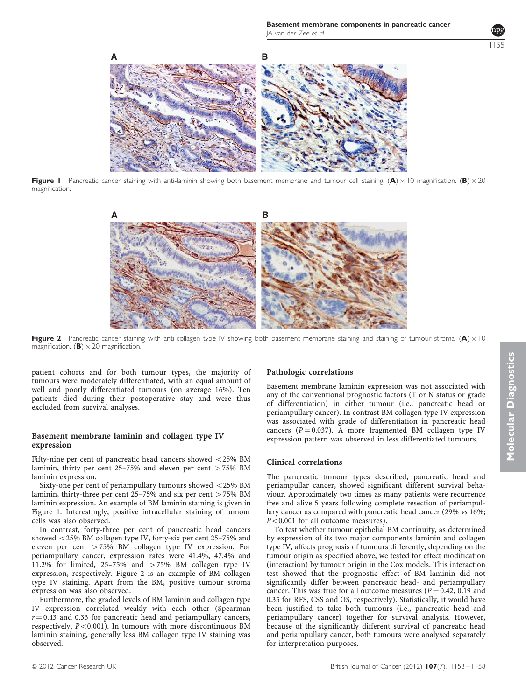

Figure I Pancreatic cancer staining with anti-laminin showing both basement membrane and tumour cell staining. (A)  $\times$  10 magnification. (B)  $\times$  20 magnification.



Figure 2 Pancreatic cancer staining with anti-collagen type IV showing both basement membrane staining and staining of tumour stroma. (A)  $\times$  10 magnification. (**B**)  $\times$  20 magnification.

patient cohorts and for both tumour types, the majority of tumours were moderately differentiated, with an equal amount of well and poorly differentiated tumours (on average 16%). Ten patients died during their postoperative stay and were thus excluded from survival analyses.

# Basement membrane laminin and collagen type IV expression

Fifty-nine per cent of pancreatic head cancers showed  $\langle$ 25% BM laminin, thirty per cent  $25-75%$  and eleven per cent  $>75%$  BM laminin expression.

Sixty-one per cent of periampullary tumours showed  $<$  25% BM laminin, thirty-three per cent  $25-75%$  and six per cent  $>75%$  BM laminin expression. An example of BM laminin staining is given in Figure 1. Interestingly, positive intracellular staining of tumour cells was also observed.

In contrast, forty-three per cent of pancreatic head cancers showed  $\langle 25\%$  BM collagen type IV, forty-six per cent 25–75% and eleven per cent  $>75\%$  BM collagen type IV expression. For periampullary cancer, expression rates were 41.4%, 47.4% and 11.2% for limited, 25-75% and  $>75%$  BM collagen type IV expression, respectively. Figure 2 is an example of BM collagen type IV staining. Apart from the BM, positive tumour stroma expression was also observed.

Furthermore, the graded levels of BM laminin and collagen type IV expression correlated weakly with each other (Spearman  $r = 0.43$  and 0.33 for pancreatic head and periampullary cancers, respectively,  $P < 0.001$ ). In tumours with more discontinuous BM laminin staining, generally less BM collagen type IV staining was observed.

# Pathologic correlations

Basement membrane laminin expression was not associated with any of the conventional prognostic factors (T or N status or grade of differentiation) in either tumour (i.e., pancreatic head or periampullary cancer). In contrast BM collagen type IV expression was associated with grade of differentiation in pancreatic head cancers ( $P = 0.037$ ). A more fragmented BM collagen type IV expression pattern was observed in less differentiated tumours.

## Clinical correlations

The pancreatic tumour types described, pancreatic head and periampullar cancer, showed significant different survival behaviour. Approximately two times as many patients were recurrence free and alive 5 years following complete resection of periampullary cancer as compared with pancreatic head cancer (29% vs 16%;  $P < 0.001$  for all outcome measures).

To test whether tumour epithelial BM continuity, as determined by expression of its two major components laminin and collagen type IV, affects prognosis of tumours differently, depending on the tumour origin as specified above, we tested for effect modification (interaction) by tumour origin in the Cox models. This interaction test showed that the prognostic effect of BM laminin did not significantly differ between pancreatic head- and periampullary cancer. This was true for all outcome measures ( $P = 0.42$ , 0.19 and 0.35 for RFS, CSS and OS, respectively). Statistically, it would have been justified to take both tumours (i.e., pancreatic head and periampullary cancer) together for survival analysis. However, because of the significantly different survival of pancreatic head and periampullary cancer, both tumours were analysed separately for interpretation purposes.

1155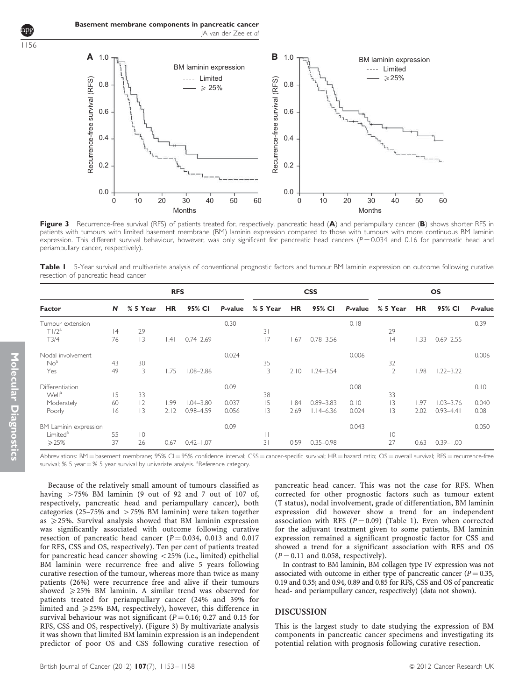

Figure 3 Recurrence-free survival (RFS) of patients treated for, respectively, pancreatic head (A) and periampullary cancer (B) shows shorter RFS in patients with tumours with limited basement membrane (BM) laminin expression compared to those with tumours with more continuous BM laminin expression. This different survival behaviour, however, was only significant for pancreatic head cancers ( $P = 0.034$  and 0.16 for pancreatic head and periampullary cancer, respectively).

Table I 5-Year survival and multivariate analysis of conventional prognostic factors and tumour BM laminin expression on outcome following curative resection of pancreatic head cancer

| Factor                | <b>RFS</b> |             |           |               |         | <b>CSS</b>   |           |               |         | <b>OS</b>      |           |               |         |
|-----------------------|------------|-------------|-----------|---------------|---------|--------------|-----------|---------------|---------|----------------|-----------|---------------|---------|
|                       | N          | % 5 Year    | <b>HR</b> | 95% CI        | P-value | % 5 Year     | <b>HR</b> | 95% CI        | P-value | % 5 Year       | <b>HR</b> | 95% CI        | P-value |
| Tumour extension      |            |             |           |               | 0.30    |              |           |               | 0.18    |                |           |               | 0.39    |
| T1/2 <sup>a</sup>     | 4          | 29          |           |               |         | 31           |           |               |         | 29             |           |               |         |
| T3/4                  | 76         | 13          | .41       | $0.74 - 2.69$ |         | 17           | .67       | $0.78 - 3.56$ |         | 4              | .33       | $0.69 - 2.55$ |         |
| Nodal involvement     |            |             |           |               | 0.024   |              |           |               | 0.006   |                |           |               | 0.006   |
| No <sup>a</sup>       | 43         | 30          |           |               |         | 35           |           |               |         | 32             |           |               |         |
| Yes                   | 49         | 3           | .75       | $1.08 - 2.86$ |         | 3            | 2.10      | $1.24 - 3.54$ |         | $\overline{2}$ | 1.98      | $1.22 - 3.22$ |         |
| Differentiation       |            |             |           |               | 0.09    |              |           |               | 0.08    |                |           |               | 0.10    |
| Well <sup>a</sup>     | 15         | 33          |           |               |         | 38           |           |               |         | 33             |           |               |         |
| Moderately            | 60         | 2           | 1.99      | $1.04 - 3.80$ | 0.037   | 15           | .84       | $0.89 - 3.83$ | 0.10    | 3              | 1.97      | $1.03 - 3.76$ | 0.040   |
| Poorly                | 16         | 13          | 2.12      | 0.98-4.59     | 0.056   | 3            | 2.69      | $1.14 - 6.36$ | 0.024   | 3              | 2.02      | $0.93 - 4.41$ | 0.08    |
| BM Laminin expression |            |             |           |               | 0.09    |              |           |               | 0.043   |                |           |               | 0.050   |
| Limited <sup>a</sup>  | 55         | $ 0\rangle$ |           |               |         | $\mathbf{L}$ |           |               |         | $\overline{0}$ |           |               |         |
| $\geqslant$ 25%       | 37         | 26          | 0.67      | $0.42 - 1.07$ |         | 31           | 0.59      | $0.35 - 0.98$ |         | 27             | 0.63      | $0.39 - 1.00$ |         |

Abbreviations: BM = basement membrane; 95% CI = 95% confidence interval; CSS = cancer-specific survival; HR = hazard ratio; OS = overall survival; RFS = recurrence-free survival; % 5 year = % 5 year survival by univariate analysis. <sup>a</sup>Reference category.

Because of the relatively small amount of tumours classified as having  $>75\%$  BM laminin (9 out of 92 and 7 out of 107 of, respectively, pancreatic head and periampullary cancer), both categories (25-75% and  $>$  75% BM laminin) were taken together as  $\geq$  25%. Survival analysis showed that BM laminin expression was significantly associated with outcome following curative resection of pancreatic head cancer ( $P = 0.034$ , 0.013 and 0.017 for RFS, CSS and OS, respectively). Ten per cent of patients treated for pancreatic head cancer showing  $<$  25% (i.e., limited) epithelial BM laminin were recurrence free and alive 5 years following curative resection of the tumour, whereas more than twice as many patients (26%) were recurrence free and alive if their tumours showed  $\geq$  25% BM laminin. A similar trend was observed for patients treated for periampullary cancer (24% and 39% for limited and  $\geq$  25% BM, respectively), however, this difference in survival behaviour was not significant ( $P = 0.16$ ; 0.27 and 0.15 for RFS, CSS and OS, respectively). (Figure 3) By multivariate analysis it was shown that limited BM laminin expression is an independent predictor of poor OS and CSS following curative resection of pancreatic head cancer. This was not the case for RFS. When corrected for other prognostic factors such as tumour extent (T status), nodal involvement, grade of differentiation, BM laminin expression did however show a trend for an independent association with RFS ( $P = 0.09$ ) (Table 1). Even when corrected for the adjuvant treatment given to some patients, BM laminin expression remained a significant prognostic factor for CSS and showed a trend for a significant association with RFS and OS  $(P = 0.11$  and 0.058, respectively).

In contrast to BM laminin, BM collagen type IV expression was not associated with outcome in either type of pancreatic cancer ( $P = 0.35$ , 0.19 and 0.35; and 0.94, 0.89 and 0.85 for RFS, CSS and OS of pancreatic head- and periampullary cancer, respectively) (data not shown).

## DISCUSSION

This is the largest study to date studying the expression of BM components in pancreatic cancer specimens and investigating its potential relation with prognosis following curative resection.

1156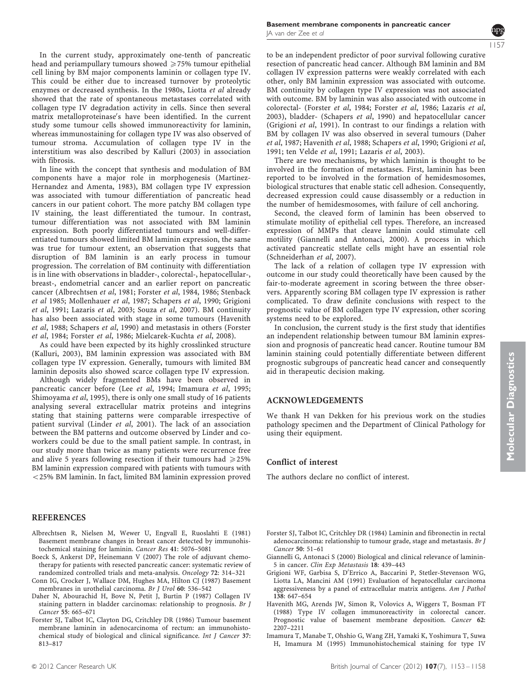<span id="page-4-0"></span>In the current study, approximately one-tenth of pancreatic head and periampullary tumours showed  $\geq$  75% tumour epithelial cell lining by BM major components laminin or collagen type IV. This could be either due to increased turnover by proteolytic enzymes or decreased synthesis. In the 1980s, Liotta et al already showed that the rate of spontaneous metastases correlated with collagen type IV degradation activity in cells. Since then several matrix metalloproteinase's have been identified. In the current study some tumour cells showed immunoreactivity for laminin, whereas immunostaining for collagen type IV was also observed of tumour stroma. Accumulation of collagen type IV in the interstitium was also described by [Kalluri \(2003\)](#page-5-0) in association with fibrosis.

In line with the concept that synthesis and modulation of BM components have a major role in morphogenesis [\(Martinez-](#page-5-0)[Hernandez and Amenta, 1983\)](#page-5-0), BM collagen type IV expression was associated with tumour differentiation of pancreatic head cancers in our patient cohort. The more patchy BM collagen type IV staining, the least differentiated the tumour. In contrast, tumour differentiation was not associated with BM laminin expression. Both poorly differentiated tumours and well-differentiated tumours showed limited BM laminin expression, the same was true for tumour extent, an observation that suggests that disruption of BM laminin is an early process in tumour progression. The correlation of BM continuity with differentiation is in line with observations in bladder-, colorectal-, hepatocellular-, breast-, endometrial cancer and an earlier report on pancreatic cancer (Albrechtsen et al, 1981; Forster et al, 1984, 1986; [Stenback](#page-5-0) et al [1985; Mollenhauer](#page-5-0) et al, 1987; [Schapers](#page-5-0) et al, 1990; Grigioni et al, 1991; [Lazaris](#page-5-0) et al, 2003; Souza et al[, 2007\)](#page-5-0). BM continuity has also been associated with stage in some tumours (Havenith et al, 1988; [Schapers](#page-5-0) et al, 1990) and metastasis in others (Forster et al, 1984; Forster et al, 1986; [Mielcarek-Kuchta](#page-5-0) et al, 2008).

As could have been expected by its highly crosslinked structure [\(Kalluri, 2003](#page-5-0)), BM laminin expression was associated with BM collagen type IV expression. Generally, tumours with limited BM laminin deposits also showed scarce collagen type IV expression.

Although widely fragmented BMs have been observed in pancreatic cancer before (Lee et al[, 1994;](#page-5-0) Imamura et al, 1995; [Shimoyama](#page-5-0) et al, 1995), there is only one small study of 16 patients analysing several extracellular matrix proteins and integrins stating that staining patterns were comparable irrespective of patient survival [\(Linder](#page-5-0) et al, 2001). The lack of an association between the BM patterns and outcome observed by Linder and coworkers could be due to the small patient sample. In contrast, in our study more than twice as many patients were recurrence free and alive 5 years following resection if their tumours had  $\geq 25\%$ BM laminin expression compared with patients with tumours with  $<$  25% BM laminin. In fact, limited BM laminin expression proved

## REFERENCES

- Albrechtsen R, Nielsen M, Wewer U, Engvall E, Ruoslahti E (1981) Basement membrane changes in breast cancer detected by immunohistochemical staining for laminin. Cancer Res 41: 5076–5081
- Boeck S, Ankerst DP, Heinemann V (2007) The role of adjuvant chemotherapy for patients with resected pancreatic cancer: systematic review of randomized controlled trials and meta-analysis. Oncology 72: 314–321
- Conn IG, Crocker J, Wallace DM, Hughes MA, Hilton CJ (1987) Basement membranes in urothelial carcinoma. Br J Urol 60: 536–542
- Daher N, Abourachid H, Bove N, Petit J, Burtin P (1987) Collagen IV staining pattern in bladder carcinomas: relationship to prognosis. Br J Cancer 55: 665–671
- Forster SJ, Talbot IC, Clayton DG, Critchley DR (1986) Tumour basement membrane laminin in adenocarcinoma of rectum: an immunohistochemical study of biological and clinical significance. Int J Cancer 37: 813–817

1157

to be an independent predictor of poor survival following curative resection of pancreatic head cancer. Although BM laminin and BM collagen IV expression patterns were weakly correlated with each other, only BM laminin expression was associated with outcome. BM continuity by collagen type IV expression was not associated with outcome. BM by laminin was also associated with outcome in colorectal- (Forster et al, 1984; Forster et al, 1986; [Lazaris](#page-5-0) et al, [2003](#page-5-0)), bladder- ([Schapers](#page-5-0) et al, 1990) and hepatocellular cancer (Grigioni et al, 1991). In contrast to our findings a relation with BM by collagen IV was also observed in several tumours (Daher et al, 1987; Havenith et al, 1988; [Schapers](#page-5-0) et al, 1990; Grigioni et al, 1991; [ten Velde](#page-5-0) et al, 1991; [Lazaris](#page-5-0) et al, 2003).

There are two mechanisms, by which laminin is thought to be involved in the formation of metastases. First, laminin has been reported to be involved in the formation of hemidesmosomes, biological structures that enable static cell adhesion. Consequently, decreased expression could cause disassembly or a reduction in the number of hemidesmosomes, with failure of cell anchoring.

Second, the cleaved form of laminin has been observed to stimulate motility of epithelial cell types. Therefore, an increased expression of MMPs that cleave laminin could stimulate cell motility (Giannelli and Antonaci, 2000). A process in which activated pancreatic stellate cells might have an essential role [\(Schneiderhan](#page-5-0) et al, 2007).

The lack of a relation of collagen type IV expression with outcome in our study could theoretically have been caused by the fair-to-moderate agreement in scoring between the three observers. Apparently scoring BM collagen type IV expression is rather complicated. To draw definite conclusions with respect to the prognostic value of BM collagen type IV expression, other scoring systems need to be explored.

In conclusion, the current study is the first study that identifies an independent relationship between tumour BM laminin expression and prognosis of pancreatic head cancer. Routine tumour BM laminin staining could potentially differentiate between different prognostic subgroups of pancreatic head cancer and consequently aid in therapeutic decision making.

## ACKNOWLEDGEMENTS

We thank H van Dekken for his previous work on the studies pathology specimen and the Department of Clinical Pathology for using their equipment.

#### Conflict of interest

The authors declare no conflict of interest.

- Forster SJ, Talbot IC, Critchley DR (1984) Laminin and fibronectin in rectal adenocarcinoma: relationship to tumour grade, stage and metastasis. Br J Cancer 50: 51–61
- Giannelli G, Antonaci S (2000) Biological and clinical relevance of laminin-5 in cancer. Clin Exp Metastasis 18: 439–443

Grigioni WF, Garbisa S, D'Errico A, Baccarini P, Stetler-Stevenson WG, Liotta LA, Mancini AM (1991) Evaluation of hepatocellular carcinoma aggressiveness by a panel of extracellular matrix antigens. Am J Pathol 138: 647–654

- Havenith MG, Arends JW, Simon R, Volovics A, Wiggers T, Bosman FT (1988) Type IV collagen immunoreactivity in colorectal cancer. Prognostic value of basement membrane deposition. Cancer 62: 2207–2211
- Imamura T, Manabe T, Ohshio G, Wang ZH, Yamaki K, Yoshimura T, Suwa H, Imamura M (1995) Immunohistochemical staining for type IV